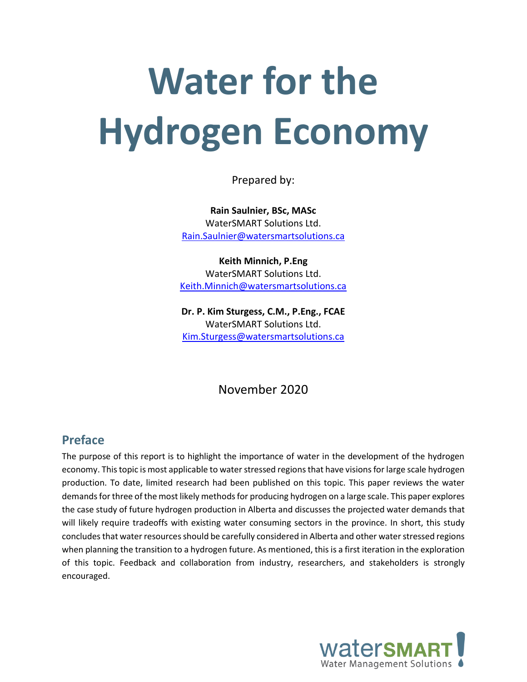# **Water for the Hydrogen Economy**

Prepared by:

**Rain Saulnier, BSc, MASc** WaterSMART Solutions Ltd. [Rain.Saulnier@watersmartsolutions.ca](mailto:Rain.Saulnier@watersmartsolutions.ca)

**Keith Minnich, P.Eng** WaterSMART Solutions Ltd. [Keith.Minnich@watersmartsolutions.ca](mailto:Keith.Minnich@watersmartsolutions.ca)

**Dr. P. Kim Sturgess, C.M., P.Eng., FCAE** WaterSMART Solutions Ltd. [Kim.Sturgess@watersmartsolutions.ca](mailto:Kim.Sturgess@watersmartsolutions.ca)

## November 2020

## **Preface**

The purpose of this report is to highlight the importance of water in the development of the hydrogen economy. This topic is most applicable to water stressed regions that have visions for large scale hydrogen production. To date, limited research had been published on this topic. This paper reviews the water demands for three of the most likely methods for producing hydrogen on a large scale. This paper explores the case study of future hydrogen production in Alberta and discusses the projected water demands that will likely require tradeoffs with existing water consuming sectors in the province. In short, this study concludes that water resources should be carefully considered in Alberta and other water stressed regions when planning the transition to a hydrogen future. As mentioned, this is a first iteration in the exploration of this topic. Feedback and collaboration from industry, researchers, and stakeholders is strongly encouraged.

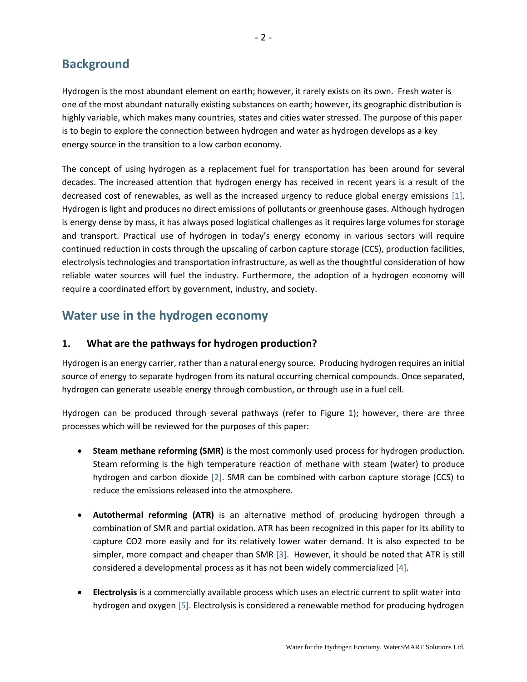## **Background**

Hydrogen is the most abundant element on earth; however, it rarely exists on its own. Fresh water is one of the most abundant naturally existing substances on earth; however, its geographic distribution is highly variable, which makes many countries, states and cities water stressed. The purpose of this paper is to begin to explore the connection between hydrogen and water as hydrogen develops as a key energy source in the transition to a low carbon economy.

The concept of using hydrogen as a replacement fuel for transportation has been around for several decades. The increased attention that hydrogen energy has received in recent years is a result of the decreased cost of renewables, as well as the increased urgency to reduce global energy emissions [1]. Hydrogen is light and produces no direct emissions of pollutants or greenhouse gases. Although hydrogen is energy dense by mass, it has always posed logistical challenges as it requires large volumes for storage and transport. Practical use of hydrogen in today's energy economy in various sectors will require continued reduction in costs through the upscaling of carbon capture storage (CCS), production facilities, electrolysis technologies and transportation infrastructure, as well as the thoughtful consideration of how reliable water sources will fuel the industry. Furthermore, the adoption of a hydrogen economy will require a coordinated effort by government, industry, and society.

## **Water use in the hydrogen economy**

## **1. What are the pathways for hydrogen production?**

Hydrogen is an energy carrier, rather than a natural energy source. Producing hydrogen requires an initial source of energy to separate hydrogen from its natural occurring chemical compounds. Once separated, hydrogen can generate useable energy through combustion, or through use in a fuel cell.

Hydrogen can be produced through several pathways (refer to Figure 1); however, there are three processes which will be reviewed for the purposes of this paper:

- **Steam methane reforming (SMR)** is the most commonly used process for hydrogen production. Steam reforming is the high temperature reaction of methane with steam (water) to produce hydrogen and carbon dioxide [2]. SMR can be combined with carbon capture storage (CCS) to reduce the emissions released into the atmosphere.
- **Autothermal reforming (ATR)** is an alternative method of producing hydrogen through a combination of SMR and partial oxidation. ATR has been recognized in this paper for its ability to capture CO2 more easily and for its relatively lower water demand. It is also expected to be simpler, more compact and cheaper than SMR [3]. However, it should be noted that ATR is still considered a developmental process as it has not been widely commercialized [4].
- **Electrolysis** is a commercially available process which uses an electric current to split water into hydrogen and oxygen [5]. Electrolysis is considered a renewable method for producing hydrogen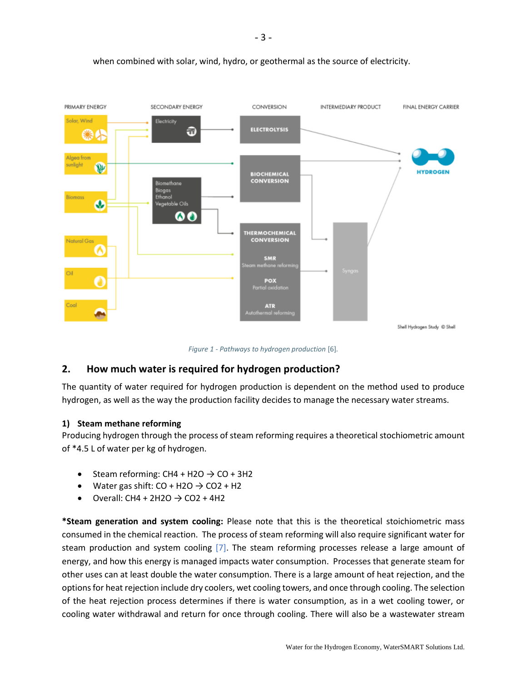

#### when combined with solar, wind, hydro, or geothermal as the source of electricity.

*Figure 1 - Pathways to hydrogen production* [6]*.*

## **2. How much water is required for hydrogen production?**

The quantity of water required for hydrogen production is dependent on the method used to produce hydrogen, as well as the way the production facility decides to manage the necessary water streams.

#### **1) Steam methane reforming**

Producing hydrogen through the process of steam reforming requires a theoretical stochiometric amount of \*4.5 L of water per kg of hydrogen.

- Steam reforming:  $CH4 + H2O \rightarrow CO + 3H2$
- Water gas shift:  $CO + H2O \rightarrow CO2 + H2$
- Overall: CH4 + 2H2O  $\rightarrow$  CO2 + 4H2

**\*Steam generation and system cooling:** Please note that this is the theoretical stoichiometric mass consumed in the chemical reaction. The process of steam reforming will also require significant water for steam production and system cooling [7]. The steam reforming processes release a large amount of energy, and how this energy is managed impacts water consumption. Processes that generate steam for other uses can at least double the water consumption. There is a large amount of heat rejection, and the options for heat rejection include dry coolers, wet cooling towers, and once through cooling. The selection of the heat rejection process determines if there is water consumption, as in a wet cooling tower, or cooling water withdrawal and return for once through cooling. There will also be a wastewater stream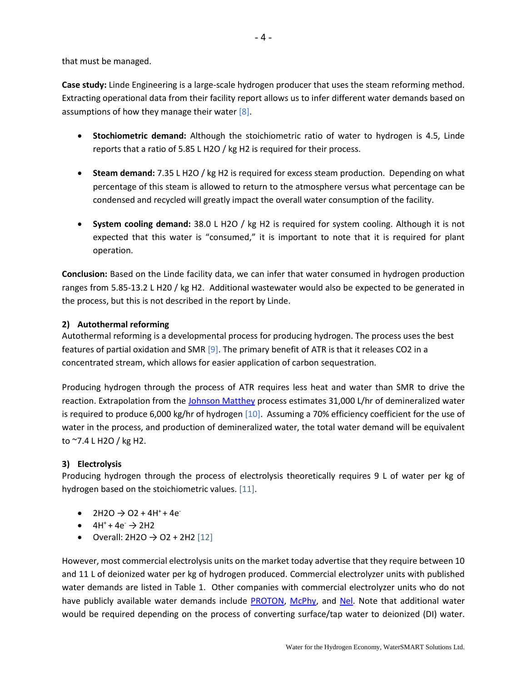that must be managed.

**Case study:** Linde Engineering is a large-scale hydrogen producer that uses the steam reforming method. Extracting operational data from their facility report allows us to infer different water demands based on assumptions of how they manage their water  $[8]$ .

- **Stochiometric demand:** Although the stoichiometric ratio of water to hydrogen is 4.5, Linde reports that a ratio of 5.85 L H2O / kg H2 is required for their process.
- **Steam demand:** 7.35 L H2O / kg H2 is required for excess steam production. Depending on what percentage of this steam is allowed to return to the atmosphere versus what percentage can be condensed and recycled will greatly impact the overall water consumption of the facility.
- **System cooling demand:** 38.0 L H2O / kg H2 is required for system cooling. Although it is not expected that this water is "consumed," it is important to note that it is required for plant operation.

**Conclusion:** Based on the Linde facility data, we can infer that water consumed in hydrogen production ranges from 5.85-13.2 L H20 / kg H2. Additional wastewater would also be expected to be generated in the process, but this is not described in the report by Linde.

#### **2) Autothermal reforming**

Autothermal reforming is a developmental process for producing hydrogen. The process uses the best features of partial oxidation and SMR [9]. The primary benefit of ATR is that it releases CO2 in a concentrated stream, which allows for easier application of carbon sequestration.

Producing hydrogen through the process of ATR requires less heat and water than SMR to drive the reaction. Extrapolation from the [Johnson Matthey](https://matthey.com/en/products-and-services/chemical-processes/core-technologies/reforming) process estimates 31,000 L/hr of demineralized water is required to produce 6,000 kg/hr of hydrogen [10]. Assuming a 70% efficiency coefficient for the use of water in the process, and production of demineralized water, the total water demand will be equivalent to ~7.4 L H2O / kg H2.

#### **3) Electrolysis**

Producing hydrogen through the process of electrolysis theoretically requires 9 L of water per kg of hydrogen based on the stoichiometric values. [11].

- $2H2O \rightarrow O2 + 4H^{+} + 4e^{-}$
- $\bullet$  4H<sup>+</sup> + 4e<sup> $\rightarrow$ </sup> 2H2
- Overall:  $2H2O \to O2 + 2H2$  [12]

However, most commercial electrolysis units on the market today advertise that they require between 10 and 11 L of deionized water per kg of hydrogen produced. Commercial electrolyzer units with published water demands are listed in Table 1. Other companies with commercial electrolyzer units who do not have publicly available water demands include [PROTON,](https://www.protononsite.com/sites/default/files/2016-10/pd-0600-0115_rev_a%20%281%29.pdf) [McPhy,](https://mcphy.com/en/equipment-services/electrolyzers/?cn-reloaded=1) and [Nel.](https://nelhydrogen.com/product/m-series-3/) Note that additional water would be required depending on the process of converting surface/tap water to deionized (DI) water.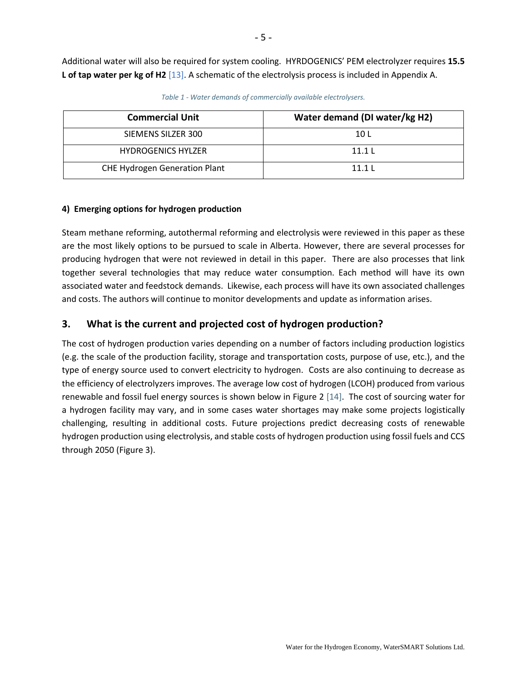Additional water will also be required for system cooling. HYRDOGENICS' PEM electrolyzer requires **15.5 L of tap water per kg of H2** [13]. A schematic of the electrolysis process is included in Appendix A.

| <b>Commercial Unit</b>               | Water demand (DI water/kg H2) |  |  |  |  |  |
|--------------------------------------|-------------------------------|--|--|--|--|--|
| SIEMENS SILZER 300                   | 10 L                          |  |  |  |  |  |
| <b>HYDROGENICS HYLZER</b>            | 11.1 <sub>l</sub>             |  |  |  |  |  |
| <b>CHE Hydrogen Generation Plant</b> | 11 1 1                        |  |  |  |  |  |

*Table 1 - Water demands of commercially available electrolysers.*

#### **4) Emerging options for hydrogen production**

Steam methane reforming, autothermal reforming and electrolysis were reviewed in this paper as these are the most likely options to be pursued to scale in Alberta. However, there are several processes for producing hydrogen that were not reviewed in detail in this paper. There are also processes that link together several technologies that may reduce water consumption. Each method will have its own associated water and feedstock demands. Likewise, each process will have its own associated challenges and costs. The authors will continue to monitor developments and update as information arises.

#### **3. What is the current and projected cost of hydrogen production?**

The cost of hydrogen production varies depending on a number of factors including production logistics (e.g. the scale of the production facility, storage and transportation costs, purpose of use, etc.), and the type of energy source used to convert electricity to hydrogen. Costs are also continuing to decrease as the efficiency of electrolyzers improves. The average low cost of hydrogen (LCOH) produced from various renewable and fossil fuel energy sources is shown below in Figure 2 [14]. The cost of sourcing water for a hydrogen facility may vary, and in some cases water shortages may make some projects logistically challenging, resulting in additional costs. Future projections predict decreasing costs of renewable hydrogen production using electrolysis, and stable costs of hydrogen production using fossil fuels and CCS through 2050 (Figure 3).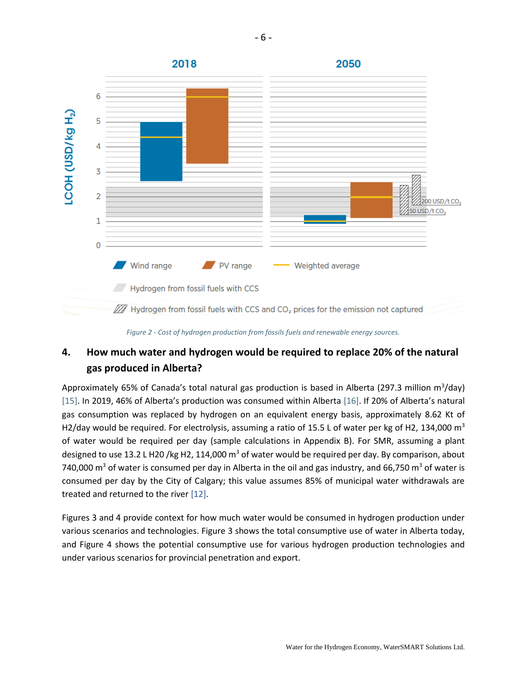

*Figure 2 - Cost of hydrogen production from fossils fuels and renewable energy sources.*

## **4. How much water and hydrogen would be required to replace 20% of the natural gas produced in Alberta?**

Approximately 65% of Canada's total natural gas production is based in Alberta (297.3 million m<sup>3</sup>/day) [15]. In 2019, 46% of Alberta's production was consumed within Alberta [16]. If 20% of Alberta's natural gas consumption was replaced by hydrogen on an equivalent energy basis, approximately 8.62 Kt of H2/day would be required. For electrolysis, assuming a ratio of 15.5 L of water per kg of H2, 134,000  $m<sup>3</sup>$ of water would be required per day (sample calculations in Appendix B). For SMR, assuming a plant designed to use 13.2 L H20 /kg H2, 114,000  $m<sup>3</sup>$  of water would be required per day. By comparison, about 740,000 m<sup>3</sup> of water is consumed per day in Alberta in the oil and gas industry, and 66,750 m<sup>3</sup> of water is consumed per day by the City of Calgary; this value assumes 85% of municipal water withdrawals are treated and returned to the river [12].

Figures 3 and 4 provide context for how much water would be consumed in hydrogen production under various scenarios and technologies. Figure 3 shows the total consumptive use of water in Alberta today, and Figure 4 shows the potential consumptive use for various hydrogen production technologies and under various scenarios for provincial penetration and export.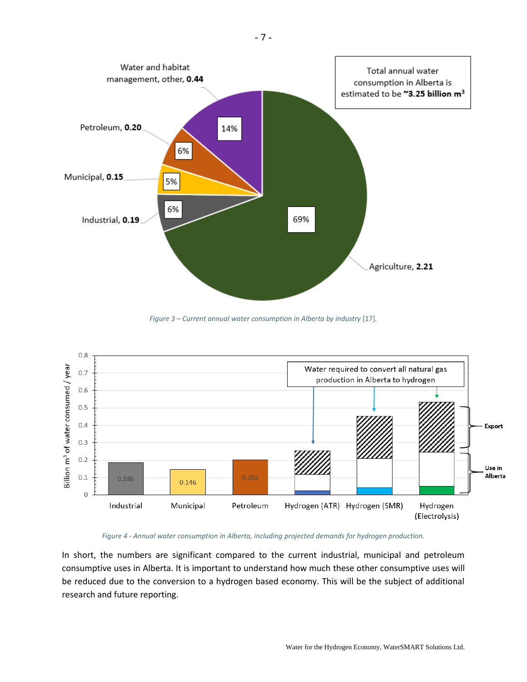

*Figure 3 – Current annual water consumption in Alberta by industry* [17]*.*



#### *Figure 4 - Annual water consumption in Alberta, including projected demands for hydrogen production.*

In short, the numbers are significant compared to the current industrial, municipal and petroleum consumptive uses in Alberta. It is important to understand how much these other consumptive uses will be reduced due to the conversion to a hydrogen based economy. This will be the subject of additional research and future reporting.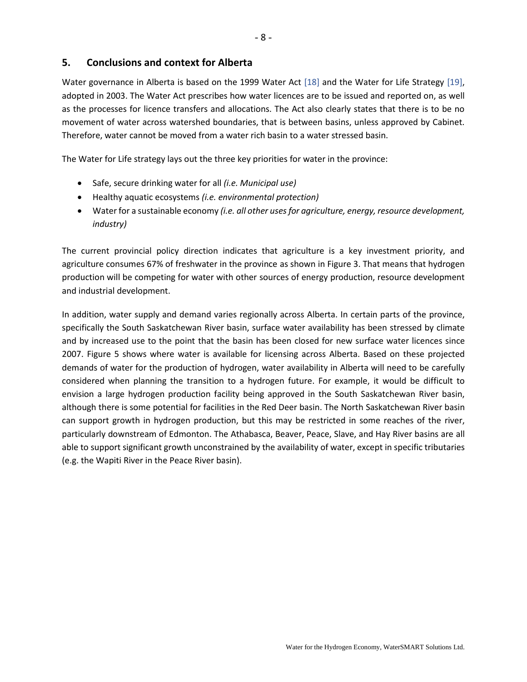#### **5. Conclusions and context for Alberta**

Water governance in Alberta is based on the 1999 Water Act [18] and the Water for Life Strategy [19], adopted in 2003. The Water Act prescribes how water licences are to be issued and reported on, as well as the processes for licence transfers and allocations. The Act also clearly states that there is to be no movement of water across watershed boundaries, that is between basins, unless approved by Cabinet. Therefore, water cannot be moved from a water rich basin to a water stressed basin.

The Water for Life strategy lays out the three key priorities for water in the province:

- Safe, secure drinking water for all *(i.e. Municipal use)*
- Healthy aquatic ecosystems *(i.e. environmental protection)*
- Water for a sustainable economy *(i.e. all other uses for agriculture, energy, resource development, industry)*

The current provincial policy direction indicates that agriculture is a key investment priority, and agriculture consumes 67% of freshwater in the province as shown in Figure 3. That means that hydrogen production will be competing for water with other sources of energy production, resource development and industrial development.

In addition, water supply and demand varies regionally across Alberta. In certain parts of the province, specifically the South Saskatchewan River basin, surface water availability has been stressed by climate and by increased use to the point that the basin has been closed for new surface water licences since 2007. Figure 5 shows where water is available for licensing across Alberta. Based on these projected demands of water for the production of hydrogen, water availability in Alberta will need to be carefully considered when planning the transition to a hydrogen future. For example, it would be difficult to envision a large hydrogen production facility being approved in the South Saskatchewan River basin, although there is some potential for facilities in the Red Deer basin. The North Saskatchewan River basin can support growth in hydrogen production, but this may be restricted in some reaches of the river, particularly downstream of Edmonton. The Athabasca, Beaver, Peace, Slave, and Hay River basins are all able to support significant growth unconstrained by the availability of water, except in specific tributaries (e.g. the Wapiti River in the Peace River basin).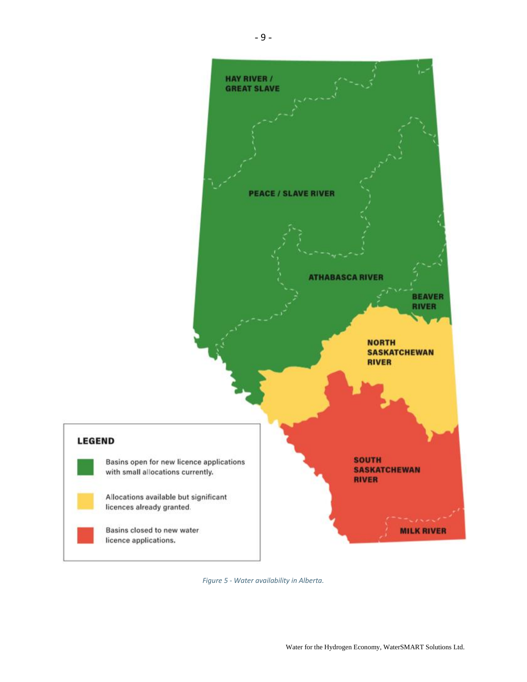

*Figure 5 - Water availability in Alberta.*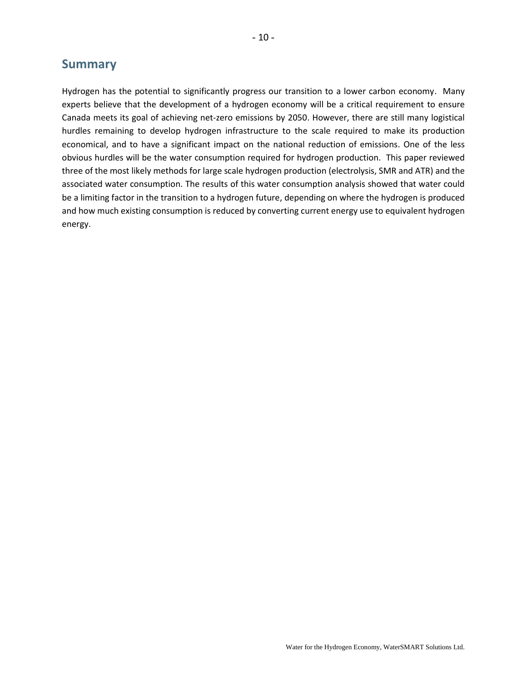## **Summary**

Hydrogen has the potential to significantly progress our transition to a lower carbon economy. Many experts believe that the development of a hydrogen economy will be a critical requirement to ensure Canada meets its goal of achieving net-zero emissions by 2050. However, there are still many logistical hurdles remaining to develop hydrogen infrastructure to the scale required to make its production economical, and to have a significant impact on the national reduction of emissions. One of the less obvious hurdles will be the water consumption required for hydrogen production. This paper reviewed three of the most likely methods for large scale hydrogen production (electrolysis, SMR and ATR) and the associated water consumption. The results of this water consumption analysis showed that water could be a limiting factor in the transition to a hydrogen future, depending on where the hydrogen is produced and how much existing consumption is reduced by converting current energy use to equivalent hydrogen energy.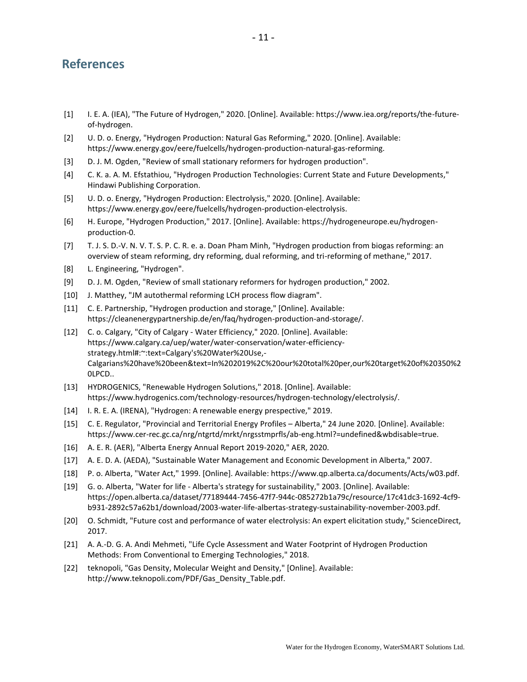## **References**

- [1] I. E. A. (IEA), "The Future of Hydrogen," 2020. [Online]. Available: https://www.iea.org/reports/the-futureof-hydrogen.
- [2] U. D. o. Energy, "Hydrogen Production: Natural Gas Reforming," 2020. [Online]. Available: https://www.energy.gov/eere/fuelcells/hydrogen-production-natural-gas-reforming.
- [3] D. J. M. Ogden, "Review of small stationary reformers for hydrogen production".
- [4] C. K. a. A. M. Efstathiou, "Hydrogen Production Technologies: Current State and Future Developments," Hindawi Publishing Corporation.
- [5] U. D. o. Energy, "Hydrogen Production: Electrolysis," 2020. [Online]. Available: https://www.energy.gov/eere/fuelcells/hydrogen-production-electrolysis.
- [6] H. Europe, "Hydrogen Production," 2017. [Online]. Available: https://hydrogeneurope.eu/hydrogenproduction-0.
- [7] T. J. S. D.-V. N. V. T. S. P. C. R. e. a. Doan Pham Minh, "Hydrogen production from biogas reforming: an overview of steam reforming, dry reforming, dual reforming, and tri-reforming of methane," 2017.
- [8] L. Engineering, "Hydrogen".
- [9] D. J. M. Ogden, "Review of small stationary reformers for hydrogen production," 2002.
- [10] J. Matthey, "JM autothermal reforming LCH process flow diagram".
- [11] C. E. Partnership, "Hydrogen production and storage," [Online]. Available: https://cleanenergypartnership.de/en/faq/hydrogen-production-and-storage/.
- [12] C. o. Calgary, "City of Calgary Water Efficiency," 2020. [Online]. Available: https://www.calgary.ca/uep/water/water-conservation/water-efficiencystrategy.html#:~:text=Calgary's%20Water%20Use,- Calgarians%20have%20been&text=In%202019%2C%20our%20total%20per,our%20target%20of%20350%2 0LPCD..
- [13] HYDROGENICS, "Renewable Hydrogen Solutions," 2018. [Online]. Available: https://www.hydrogenics.com/technology-resources/hydrogen-technology/electrolysis/.
- [14] I. R. E. A. (IRENA), "Hydrogen: A renewable energy prespective," 2019.
- [15] C. E. Regulator, "Provincial and Territorial Energy Profiles Alberta," 24 June 2020. [Online]. Available: https://www.cer-rec.gc.ca/nrg/ntgrtd/mrkt/nrgsstmprfls/ab-eng.html?=undefined&wbdisable=true.
- [16] A. E. R. (AER), "Alberta Energy Annual Report 2019-2020," AER, 2020.
- [17] A. E. D. A. (AEDA), "Sustainable Water Management and Economic Development in Alberta," 2007.
- [18] P. o. Alberta, "Water Act," 1999. [Online]. Available: https://www.qp.alberta.ca/documents/Acts/w03.pdf.
- [19] G. o. Alberta, "Water for life Alberta's strategy for sustainability," 2003. [Online]. Available: https://open.alberta.ca/dataset/77189444-7456-47f7-944c-085272b1a79c/resource/17c41dc3-1692-4cf9 b931-2892c57a62b1/download/2003-water-life-albertas-strategy-sustainability-november-2003.pdf.
- [20] O. Schmidt, "Future cost and performance of water electrolysis: An expert elicitation study," ScienceDirect, 2017.
- [21] A. A.-D. G. A. Andi Mehmeti, "Life Cycle Assessment and Water Footprint of Hydrogen Production Methods: From Conventional to Emerging Technologies," 2018.
- [22] teknopoli, "Gas Density, Molecular Weight and Density," [Online]. Available: http://www.teknopoli.com/PDF/Gas\_Density\_Table.pdf.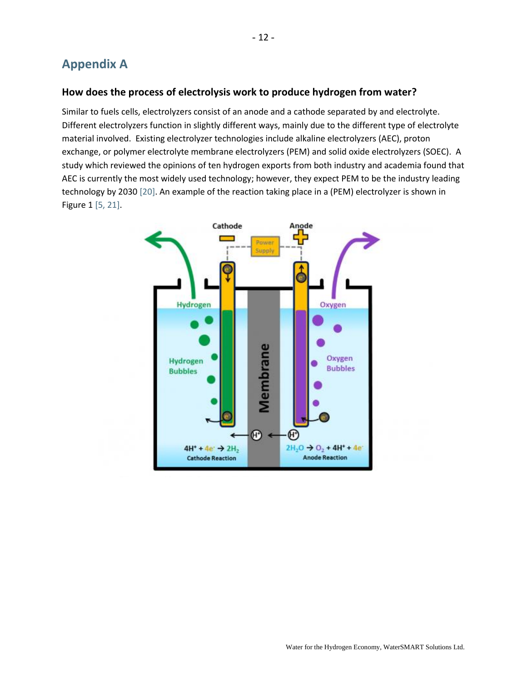# **Appendix A**

#### **How does the process of electrolysis work to produce hydrogen from water?**

Similar to fuels cells, electrolyzers consist of an anode and a cathode separated by and electrolyte. Different electrolyzers function in slightly different ways, mainly due to the different type of electrolyte material involved. Existing electrolyzer technologies include alkaline electrolyzers (AEC), proton exchange, or polymer electrolyte membrane electrolyzers (PEM) and solid oxide electrolyzers (SOEC). A study which reviewed the opinions of ten hydrogen exports from both industry and academia found that AEC is currently the most widely used technology; however, they expect PEM to be the industry leading technology by 2030 [20]. An example of the reaction taking place in a (PEM) electrolyzer is shown in Figure 1 [5, 21].